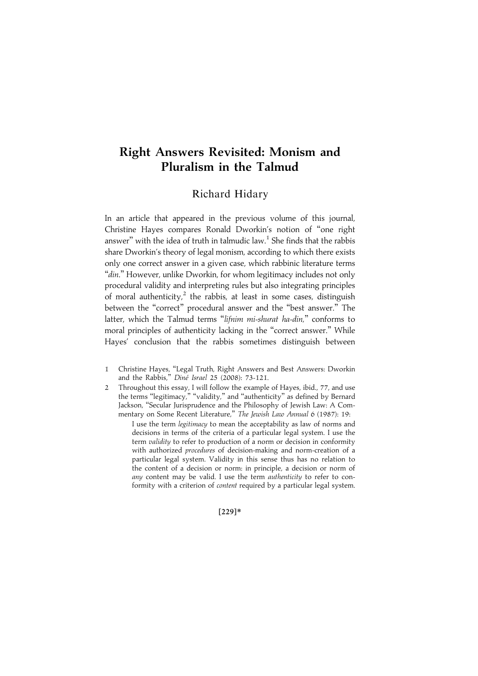# Right Answers Revisited: Monism and Pluralism in the Talmud

## Richard Hidary

In an article that appeared in the previous volume of this journal, Christine Hayes compares Ronald Dworkin's notion of ''one right answer" with the idea of truth in talmudic law.<sup>1</sup> She finds that the rabbis share Dworkin's theory of legal monism, according to which there exists only one correct answer in a given case, which rabbinic literature terms "din." However, unlike Dworkin, for whom legitimacy includes not only procedural validity and interpreting rules but also integrating principles of moral authenticity,<sup>2</sup> the rabbis, at least in some cases, distinguish between the "correct" procedural answer and the "best answer." The latter, which the Talmud terms "lifnim mi-shurat ha-din," conforms to moral principles of authenticity lacking in the ''correct answer.'' While Hayes' conclusion that the rabbis sometimes distinguish between

- 1 Christine Hayes, ''Legal Truth, Right Answers and Best Answers: Dworkin and the Rabbis," Diné Israel 25 (2008): 73-121.
- 2 Throughout this essay, I will follow the example of Hayes, ibid., 77, and use the terms ''legitimacy,'' ''validity,'' and ''authenticity'' as defined by Bernard Jackson, ''Secular Jurisprudence and the Philosophy of Jewish Law: A Commentary on Some Recent Literature," The Jewish Law Annual 6 (1987): 19:

I use the term legitimacy to mean the acceptability as law of norms and decisions in terms of the criteria of a particular legal system. I use the term *validity* to refer to production of a norm or decision in conformity with authorized *procedures* of decision-making and norm-creation of a particular legal system. Validity in this sense thus has no relation to the content of a decision or norm: in principle, a decision or norm of any content may be valid. I use the term authenticity to refer to conformity with a criterion of content required by a particular legal system.

 $[229]*$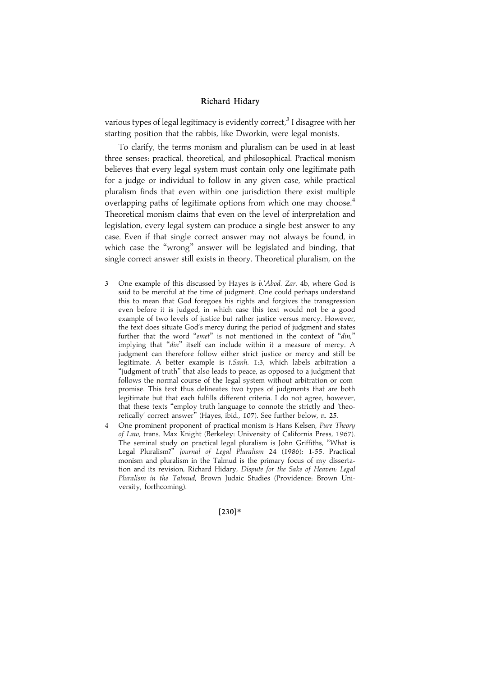various types of legal legitimacy is evidently correct,<sup>3</sup> I disagree with her starting position that the rabbis, like Dworkin, were legal monists.

To clarify, the terms monism and pluralism can be used in at least three senses: practical, theoretical, and philosophical. Practical monism believes that every legal system must contain only one legitimate path for a judge or individual to follow in any given case, while practical pluralism finds that even within one jurisdiction there exist multiple overlapping paths of legitimate options from which one may choose.<sup>4</sup> Theoretical monism claims that even on the level of interpretation and legislation, every legal system can produce a single best answer to any case. Even if that single correct answer may not always be found, in which case the ''wrong'' answer will be legislated and binding, that single correct answer still exists in theory. Theoretical pluralism, on the

- 3 One example of this discussed by Hayes is b.'Abod. Zar. 4b, where God is said to be merciful at the time of judgment. One could perhaps understand this to mean that God foregoes his rights and forgives the transgression even before it is judged, in which case this text would not be a good example of two levels of justice but rather justice versus mercy. However, the text does situate God's mercy during the period of judgment and states further that the word "emet" is not mentioned in the context of "din," implying that "din" itself can include within it a measure of mercy. A judgment can therefore follow either strict justice or mercy and still be legitimate. A better example is t.Sanh. 1:3, which labels arbitration a ''judgment of truth'' that also leads to peace, as opposed to a judgment that follows the normal course of the legal system without arbitration or compromise. This text thus delineates two types of judgments that are both legitimate but that each fulfills different criteria. I do not agree, however, that these texts ''employ truth language to connote the strictly and 'theoretically' correct answer'' (Hayes, ibid., 107). See further below, n. 25.
- 4 One prominent proponent of practical monism is Hans Kelsen, Pure Theory of Law, trans. Max Knight (Berkeley: University of California Press, 1967). The seminal study on practical legal pluralism is John Griffiths, ''What is Legal Pluralism?'' Journal of Legal Pluralism 24 (1986): 1-55. Practical monism and pluralism in the Talmud is the primary focus of my dissertation and its revision, Richard Hidary, Dispute for the Sake of Heaven: Legal Pluralism in the Talmud, Brown Judaic Studies (Providence: Brown University, forthcoming).

 $[230]*$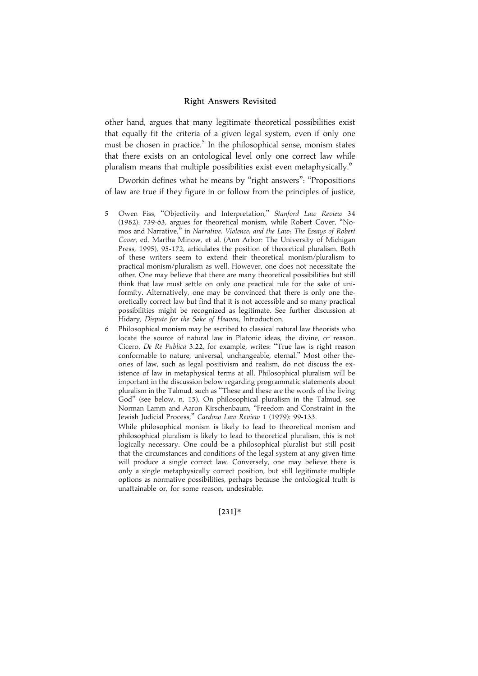other hand, argues that many legitimate theoretical possibilities exist that equally fit the criteria of a given legal system, even if only one must be chosen in practice. $5$  In the philosophical sense, monism states that there exists on an ontological level only one correct law while pluralism means that multiple possibilities exist even metaphysically.<sup>6</sup>

Dworkin defines what he means by "right answers": "Propositions of law are true if they figure in or follow from the principles of justice,

- 5 Owen Fiss, "Objectivity and Interpretation," Stanford Law Review 34 (1982): 739-63, argues for theoretical monism, while Robert Cover, ''Nomos and Narrative,'' in Narrative, Violence, and the Law: The Essays of Robert Cover, ed. Martha Minow, et al. (Ann Arbor: The University of Michigan Press, 1995), 95-172, articulates the position of theoretical pluralism. Both of these writers seem to extend their theoretical monism/pluralism to practical monism/pluralism as well. However, one does not necessitate the other. One may believe that there are many theoretical possibilities but still think that law must settle on only one practical rule for the sake of uniformity. Alternatively, one may be convinced that there is only one theoretically correct law but find that it is not accessible and so many practical possibilities might be recognized as legitimate. See further discussion at Hidary, Dispute for the Sake of Heaven, Introduction.
- 6 Philosophical monism may be ascribed to classical natural law theorists who locate the source of natural law in Platonic ideas, the divine, or reason. Cicero, De Re Publica 3.22, for example, writes: ''True law is right reason conformable to nature, universal, unchangeable, eternal.'' Most other theories of law, such as legal positivism and realism, do not discuss the existence of law in metaphysical terms at all. Philosophical pluralism will be important in the discussion below regarding programmatic statements about pluralism in the Talmud, such as ''These and these are the words of the living God'' (see below, n. 15). On philosophical pluralism in the Talmud, see Norman Lamm and Aaron Kirschenbaum, ''Freedom and Constraint in the Jewish Judicial Process,'' Cardozo Law Review 1 (1979): 99-133.

While philosophical monism is likely to lead to theoretical monism and philosophical pluralism is likely to lead to theoretical pluralism, this is not logically necessary. One could be a philosophical pluralist but still posit that the circumstances and conditions of the legal system at any given time will produce a single correct law. Conversely, one may believe there is only a single metaphysically correct position, but still legitimate multiple options as normative possibilities, perhaps because the ontological truth is unattainable or, for some reason, undesirable.

#### |231~\*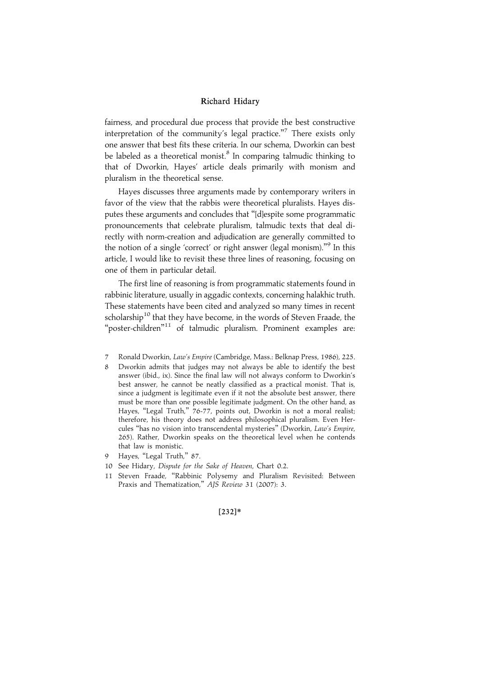fairness, and procedural due process that provide the best constructive interpretation of the community's legal practice."<sup>7</sup> There exists only one answer that best fits these criteria. In our schema, Dworkin can best be labeled as a theoretical monist.<sup>8</sup> In comparing talmudic thinking to that of Dworkin, Hayes' article deals primarily with monism and pluralism in the theoretical sense.

Hayes discusses three arguments made by contemporary writers in favor of the view that the rabbis were theoretical pluralists. Hayes disputes these arguments and concludes that ''[d]espite some programmatic pronouncements that celebrate pluralism, talmudic texts that deal directly with norm-creation and adjudication are generally committed to the notion of a single 'correct' or right answer (legal monism).'' <sup>9</sup> In this article, I would like to revisit these three lines of reasoning, focusing on one of them in particular detail.

The first line of reasoning is from programmatic statements found in rabbinic literature, usually in aggadic contexts, concerning halakhic truth. These statements have been cited and analyzed so many times in recent scholarship<sup>10</sup> that they have become, in the words of Steven Fraade, the "poster-children"<sup>11</sup> of talmudic pluralism. Prominent examples are:

- 7 Ronald Dworkin, Law's Empire (Cambridge, Mass.: Belknap Press, 1986), 225.
- Dworkin admits that judges may not always be able to identify the best answer (ibid., ix). Since the final law will not always conform to Dworkin's best answer, he cannot be neatly classified as a practical monist. That is, since a judgment is legitimate even if it not the absolute best answer, there must be more than one possible legitimate judgment. On the other hand, as Hayes, "Legal Truth," 76-77, points out, Dworkin is not a moral realist; therefore, his theory does not address philosophical pluralism. Even Hercules ''has no vision into transcendental mysteries'' (Dworkin, Law's Empire, 265). Rather, Dworkin speaks on the theoretical level when he contends that law is monistic.
- 9 Hayes, "Legal Truth," 87.
- 10 See Hidary, Dispute for the Sake of Heaven, Chart 0.2.
- 11 Steven Fraade, ''Rabbinic Polysemy and Pluralism Revisited: Between Praxis and Thematization," AJS Review 31 (2007): 3.

#### $[232]*$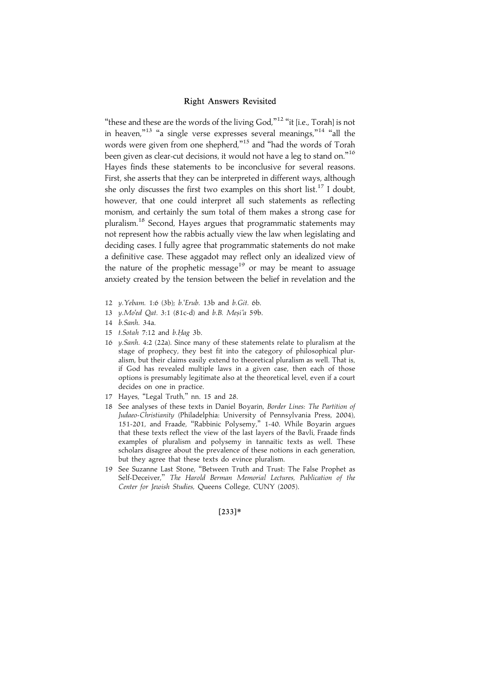"these and these are the words of the living God,"<sup>12</sup> "it [i.e., Torah] is not in heaven,"<sup>13</sup> "a single verse expresses several meanings,"<sup>14</sup> "all the words were given from one shepherd,"<sup>15</sup> and "had the words of Torah been given as clear-cut decisions, it would not have a leg to stand on.'' 16 Hayes finds these statements to be inconclusive for several reasons. First, she asserts that they can be interpreted in different ways, although she only discusses the first two examples on this short list.<sup>17</sup> I doubt, however, that one could interpret all such statements as reflecting monism, and certainly the sum total of them makes a strong case for pluralism.<sup>18</sup> Second, Hayes argues that programmatic statements may not represent how the rabbis actually view the law when legislating and deciding cases. I fully agree that programmatic statements do not make a definitive case. These aggadot may reflect only an idealized view of the nature of the prophetic message<sup>19</sup> or may be meant to assuage anxiety created by the tension between the belief in revelation and the

- 12 y.Yebam. 1:6 (3b); b.'Erub. 13b and b.Git. 6b.
- 13 y.Mo'ed Qat. 3:1 (81c-d) and b.B. Mesi'a 59b.
- 14 b.Sanh. 34a.
- 15 t.Sotah 7:12 and b.Hag 3b.
- 16 y.Sanh. 4:2 (22a). Since many of these statements relate to pluralism at the stage of prophecy, they best fit into the category of philosophical pluralism, but their claims easily extend to theoretical pluralism as well. That is, if God has revealed multiple laws in a given case, then each of those options is presumably legitimate also at the theoretical level, even if a court decides on one in practice.
- 17 Hayes, ''Legal Truth,'' nn. 15 and 28.
- 18 See analyses of these texts in Daniel Boyarin, Border Lines: The Partition of Judaeo-Christianity (Philadelphia: University of Pennsylvania Press, 2004), 151-201, and Fraade, ''Rabbinic Polysemy,'' 1-40. While Boyarin argues that these texts reflect the view of the last layers of the Bavli, Fraade finds examples of pluralism and polysemy in tannaitic texts as well. These scholars disagree about the prevalence of these notions in each generation, but they agree that these texts do evince pluralism.
- 19 See Suzanne Last Stone, ''Between Truth and Trust: The False Prophet as Self-Deceiver," The Harold Berman Memorial Lectures, Publication of the Center for Jewish Studies, Queens College, CUNY (2005).

#### $[233]*$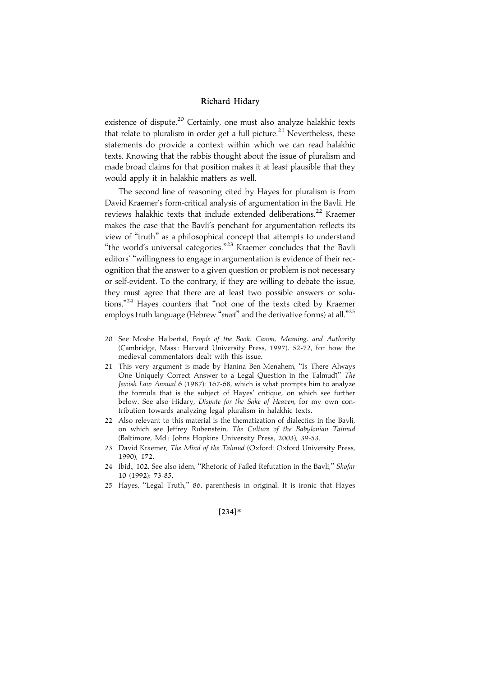existence of dispute.<sup>20</sup> Certainly, one must also analyze halakhic texts that relate to pluralism in order get a full picture.<sup>21</sup> Nevertheless, these statements do provide a context within which we can read halakhic texts. Knowing that the rabbis thought about the issue of pluralism and made broad claims for that position makes it at least plausible that they would apply it in halakhic matters as well.

The second line of reasoning cited by Hayes for pluralism is from David Kraemer's form-critical analysis of argumentation in the Bavli. He reviews halakhic texts that include extended deliberations.<sup>22</sup> Kraemer makes the case that the Bavli's penchant for argumentation reflects its view of ''truth'' as a philosophical concept that attempts to understand "the world's universal categories."<sup>23</sup> Kraemer concludes that the Bavli editors' ''willingness to engage in argumentation is evidence of their recognition that the answer to a given question or problem is not necessary or self-evident. To the contrary, if they are willing to debate the issue, they must agree that there are at least two possible answers or solutions."<sup>24</sup> Hayes counters that "not one of the texts cited by Kraemer employs truth language (Hebrew "emet" and the derivative forms) at all."<sup>25</sup>

- 20 See Moshe Halbertal, People of the Book: Canon, Meaning, and Authority (Cambridge, Mass.: Harvard University Press, 1997), 52-72, for how the medieval commentators dealt with this issue.
- 21 This very argument is made by Hanina Ben-Menahem, ''Is There Always One Uniquely Correct Answer to a Legal Question in the Talmud?'' The Jewish Law Annual 6 (1987): 167-68, which is what prompts him to analyze the formula that is the subject of Hayes' critique, on which see further below. See also Hidary, Dispute for the Sake of Heaven, for my own contribution towards analyzing legal pluralism in halakhic texts.
- 22 Also relevant to this material is the thematization of dialectics in the Bavli, on which see Jeffrey Rubenstein, The Culture of the Babylonian Talmud (Baltimore, Md.: Johns Hopkins University Press, 2003), 39-53.
- 23 David Kraemer, The Mind of the Talmud (Oxford: Oxford University Press, 1990), 172.
- 24 Ibid., 102. See also idem, "Rhetoric of Failed Refutation in the Bavli," Shofar 10 (1992): 73-85.
- 25 Hayes, ''Legal Truth,'' 86, parenthesis in original. It is ironic that Hayes

#### $[234]*$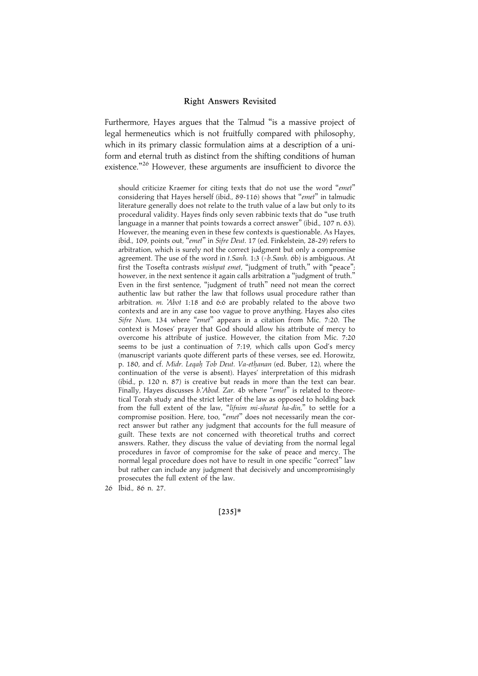Furthermore, Hayes argues that the Talmud "is a massive project of legal hermeneutics which is not fruitfully compared with philosophy, which in its primary classic formulation aims at a description of a uniform and eternal truth as distinct from the shifting conditions of human existence."<sup>26</sup> However, these arguments are insufficient to divorce the

should criticize Kraemer for citing texts that do not use the word ''emet'' considering that Hayes herself (ibid., 89-116) shows that "emet" in talmudic literature generally does not relate to the truth value of a law but only to its procedural validity. Hayes finds only seven rabbinic texts that do ''use truth language in a manner that points towards a correct answer" (ibid., 107 n. 63). However, the meaning even in these few contexts is questionable. As Hayes, ibid., 109, points out, ''emet'' in Sifre Deut. 17 (ed. Finkelstein, 28-29) refers to arbitration, which is surely not the correct judgment but only a compromise agreement. The use of the word in t.Sanh. 1:3 (=b.Sanh. 6b) is ambiguous. At first the Tosefta contrasts mishpat emet, "judgment of truth," with "peace"; however, in the next sentence it again calls arbitration a "judgment of truth." Even in the first sentence, "judgment of truth" need not mean the correct authentic law but rather the law that follows usual procedure rather than arbitration. m. 'Abot 1:18 and 6:6 are probably related to the above two contexts and are in any case too vague to prove anything. Hayes also cites Sifre Num. 134 where "emet" appears in a citation from Mic. 7:20. The context is Moses' prayer that God should allow his attribute of mercy to overcome his attribute of justice. However, the citation from Mic. 7:20 seems to be just a continuation of 7:19, which calls upon God's mercy (manuscript variants quote different parts of these verses, see ed. Horowitz, p. 180, and cf. Midr. Legah Tob Deut. Va-ethanan (ed. Buber, 12), where the continuation of the verse is absent). Hayes' interpretation of this midrash (ibid., p. 120 n. 87) is creative but reads in more than the text can bear. Finally, Hayes discusses b.'Abod. Zar. 4b where "emet" is related to theoretical Torah study and the strict letter of the law as opposed to holding back from the full extent of the law, ''lifnim mi-shurat ha-din,'' to settle for a compromise position. Here, too, "emet" does not necessarily mean the correct answer but rather any judgment that accounts for the full measure of guilt. These texts are not concerned with theoretical truths and correct answers. Rather, they discuss the value of deviating from the normal legal procedures in favor of compromise for the sake of peace and mercy. The normal legal procedure does not have to result in one specific ''correct'' law but rather can include any judgment that decisively and uncompromisingly prosecutes the full extent of the law.

26 Ibid., 86 n. 27.

 $[235]*$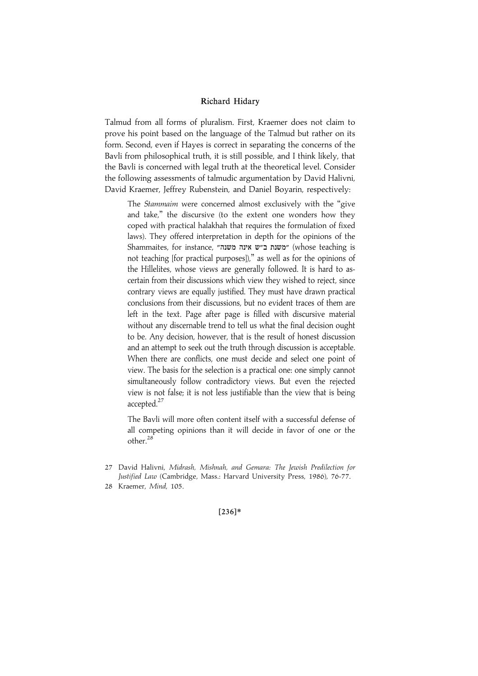Talmud from all forms of pluralism. First, Kraemer does not claim to prove his point based on the language of the Talmud but rather on its form. Second, even if Hayes is correct in separating the concerns of the Bavli from philosophical truth, it is still possible, and I think likely, that the Bavli is concerned with legal truth at the theoretical level. Consider the following assessments of talmudic argumentation by David Halivni, David Kraemer, Jeffrey Rubenstein, and Daniel Boyarin, respectively:

The Stammaim were concerned almost exclusively with the ''give and take,'' the discursive (to the extent one wonders how they coped with practical halakhah that requires the formulation of fixed laws). They offered interpretation in depth for the opinions of the Shammaites, for instance, "משנת ב"ש אינה משנה" (whose teaching is not teaching [for practical purposes]),'' as well as for the opinions of the Hillelites, whose views are generally followed. It is hard to ascertain from their discussions which view they wished to reject, since contrary views are equally justified. They must have drawn practical conclusions from their discussions, but no evident traces of them are left in the text. Page after page is filled with discursive material without any discernable trend to tell us what the final decision ought to be. Any decision, however, that is the result of honest discussion and an attempt to seek out the truth through discussion is acceptable. When there are conflicts, one must decide and select one point of view. The basis for the selection is a practical one: one simply cannot simultaneously follow contradictory views. But even the rejected view is not false; it is not less justifiable than the view that is being accepted.<sup>27</sup>

The Bavli will more often content itself with a successful defense of all competing opinions than it will decide in favor of one or the other.<sup>28</sup>

 $[236]*$ 

<sup>27</sup> David Halivni, Midrash, Mishnah, and Gemara: The Jewish Predilection for Justified Law (Cambridge, Mass.: Harvard University Press, 1986), 76-77.

<sup>28</sup> Kraemer, Mind, 105.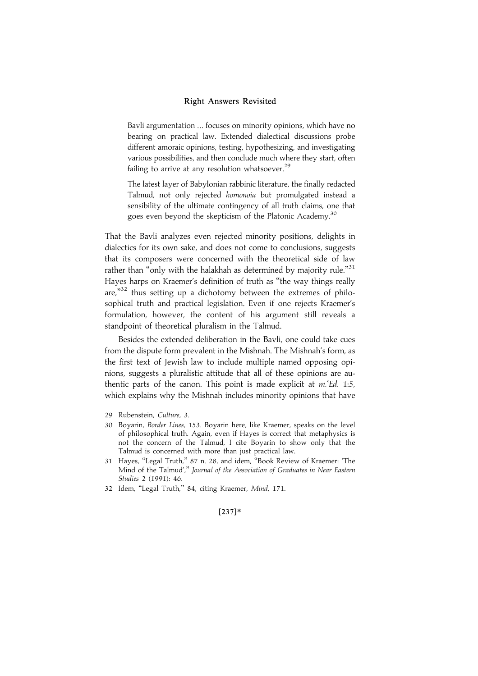Bavli argumentation ... focuses on minority opinions, which have no bearing on practical law. Extended dialectical discussions probe different amoraic opinions, testing, hypothesizing, and investigating various possibilities, and then conclude much where they start, often failing to arrive at any resolution whatsoever. $^{29}$ 

The latest layer of Babylonian rabbinic literature, the finally redacted Talmud, not only rejected homonoia but promulgated instead a sensibility of the ultimate contingency of all truth claims, one that goes even beyond the skepticism of the Platonic Academy.<sup>30</sup>

That the Bavli analyzes even rejected minority positions, delights in dialectics for its own sake, and does not come to conclusions, suggests that its composers were concerned with the theoretical side of law rather than "only with the halakhah as determined by majority rule." $^{\scriptstyle 31}$ Hayes harps on Kraemer's definition of truth as ''the way things really are,"32 thus setting up a dichotomy between the extremes of philosophical truth and practical legislation. Even if one rejects Kraemer's formulation, however, the content of his argument still reveals a standpoint of theoretical pluralism in the Talmud.

Besides the extended deliberation in the Bavli, one could take cues from the dispute form prevalent in the Mishnah. The Mishnah's form, as the first text of Jewish law to include multiple named opposing opinions, suggests a pluralistic attitude that all of these opinions are authentic parts of the canon. This point is made explicit at *m.'Ed.* 1:5, which explains why the Mishnah includes minority opinions that have

- 29 Rubenstein, Culture, 3.
- 30 Boyarin, Border Lines, 153. Boyarin here, like Kraemer, speaks on the level of philosophical truth. Again, even if Hayes is correct that metaphysics is not the concern of the Talmud, I cite Boyarin to show only that the Talmud is concerned with more than just practical law.
- 31 Hayes, ''Legal Truth,'' 87 n. 28, and idem, ''Book Review of Kraemer: 'The Mind of the Talmud','' Journal of the Association of Graduates in Near Eastern Studies 2 (1991): 46.
- 32 Idem, ''Legal Truth,'' 84, citing Kraemer, Mind, 171.

#### |237~\*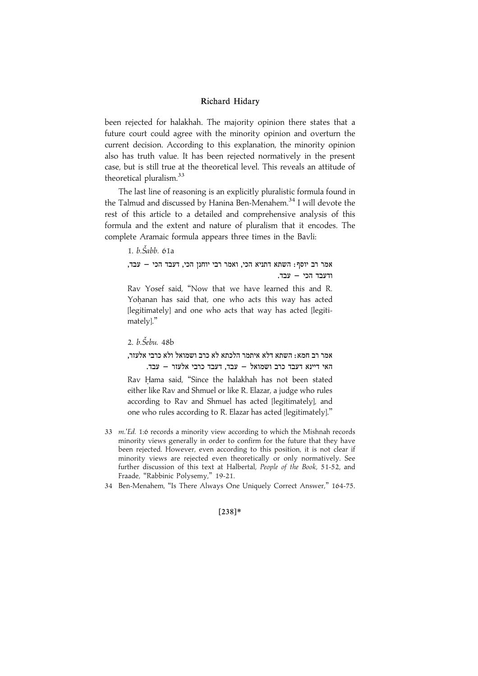been rejected for halakhah. The majority opinion there states that a future court could agree with the minority opinion and overturn the current decision. According to this explanation, the minority opinion also has truth value. It has been rejected normatively in the present case, but is still true at the theoretical level. This reveals an attitude of theoretical pluralism.<sup>33</sup>

The last line of reasoning is an explicitly pluralistic formula found in the Talmud and discussed by Hanina Ben-Menahem.<sup>34</sup> I will devote the rest of this article to a detailed and comprehensive analysis of this formula and the extent and nature of pluralism that it encodes. The complete Aramaic formula appears three times in the Bavli:

1. *b.Šabb.* 61a

, אמר רב יוסף: השתא דתניא הכי, ואמר רבי יוחנן הכי, דעבד הכי - עבד  $R = TCT$  (ודעבד הכי

Rav Yosef said, ''Now that we have learned this and R. Yohanan has said that, one who acts this way has acted [legitimately] and one who acts that way has acted [legitimately].''

2. b.Šebu. 48b

## ,<br>אמר רב חמא: השתא דלא איתמר הלכתא לא כרב ושמואל ולא כרבי אלעזר האי דיינא דעבד כרב ושמואל – עבד, דעבד כרבי אלעזר – עבד.

Rav Hama said, "Since the halakhah has not been stated either like Rav and Shmuel or like R. Elazar, a judge who rules according to Rav and Shmuel has acted [legitimately], and one who rules according to R. Elazar has acted [legitimately].''

- 33 m.'Ed. 1:6 records a minority view according to which the Mishnah records minority views generally in order to confirm for the future that they have been rejected. However, even according to this position, it is not clear if minority views are rejected even theoretically or only normatively. See further discussion of this text at Halbertal, People of the Book, 51-52, and Fraade, "Rabbinic Polysemy," 19-21.
- 34 Ben-Menahem, ''Is There Always One Uniquely Correct Answer,'' 164-75.

#### $[238]*$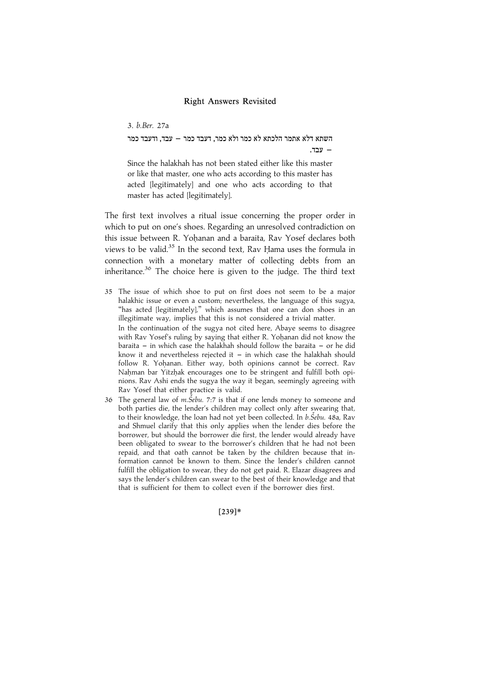3. b.Ber. 27a

השתא דלא אתמר הלכתא לא כמר ולא כמר, דעבד כמר – עבד, ודעבד כמר . עבד

Since the halakhah has not been stated either like this master or like that master, one who acts according to this master has acted [legitimately] and one who acts according to that master has acted [legitimately].

The first text involves a ritual issue concerning the proper order in which to put on one's shoes. Regarding an unresolved contradiction on this issue between R. Yohanan and a baraita, Rav Yosef declares both views to be valid.<sup>35</sup> In the second text, Rav Hama uses the formula in connection with a monetary matter of collecting debts from an inheritance. $36$  The choice here is given to the judge. The third text

- 35 The issue of which shoe to put on first does not seem to be a major halakhic issue or even a custom; nevertheless, the language of this sugya, "has acted [legitimately]," which assumes that one can don shoes in an illegitimate way, implies that this is not considered a trivial matter. In the continuation of the sugya not cited here, Abaye seems to disagree with Rav Yosef's ruling by saying that either R. Yohanan did not know the baraita  $-$  in which case the halakhah should follow the baraita  $-$  or he did know it and nevertheless rejected it  $-$  in which case the halakhah should follow R. Yohanan. Either way, both opinions cannot be correct. Rav Nahman bar Yitzhak encourages one to be stringent and fulfill both opinions. Rav Ashi ends the sugya the way it began, seemingly agreeing with Rav Yosef that either practice is valid.
- 36 The general law of *m. Šebu.* 7:7 is that if one lends money to someone and both parties die, the lender's children may collect only after swearing that, to their knowledge, the loan had not yet been collected. In b.Šebu. 48a, Rav and Shmuel clarify that this only applies when the lender dies before the borrower, but should the borrower die first, the lender would already have been obligated to swear to the borrower's children that he had not been repaid, and that oath cannot be taken by the children because that information cannot be known to them. Since the lender's children cannot fulfill the obligation to swear, they do not get paid. R. Elazar disagrees and says the lender's children can swear to the best of their knowledge and that that is sufficient for them to collect even if the borrower dies first.

[239]\*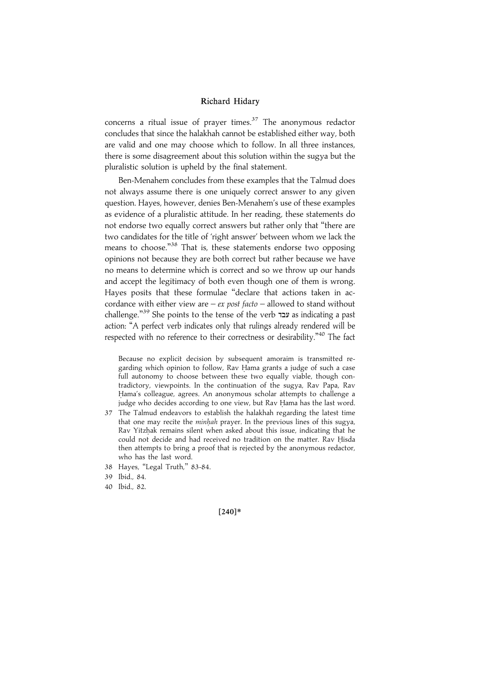concerns a ritual issue of prayer times. $37$  The anonymous redactor concludes that since the halakhah cannot be established either way, both are valid and one may choose which to follow. In all three instances, there is some disagreement about this solution within the sugya but the pluralistic solution is upheld by the final statement.

Ben-Menahem concludes from these examples that the Talmud does not always assume there is one uniquely correct answer to any given question. Hayes, however, denies Ben-Menahem's use of these examples as evidence of a pluralistic attitude. In her reading, these statements do not endorse two equally correct answers but rather only that ''there are two candidates for the title of 'right answer' between whom we lack the means to choose."<sup>38</sup> That is, these statements endorse two opposing opinions not because they are both correct but rather because we have no means to determine which is correct and so we throw up our hands and accept the legitimacy of both even though one of them is wrong. Hayes posits that these formulae ''declare that actions taken in accordance with either view are –  $ex$  post facto – allowed to stand without challenge."<sup>39</sup> She points to the tense of the verb עבד as indicating a past action: ''A perfect verb indicates only that rulings already rendered will be respected with no reference to their correctness or desirability."<sup>40</sup> The fact

Because no explicit decision by subsequent amoraim is transmitted regarding which opinion to follow, Rav Hama grants a judge of such a case full autonomy to choose between these two equally viable, though contradictory, viewpoints. In the continuation of the sugya, Rav Papa, Rav Hama's colleague, agrees. An anonymous scholar attempts to challenge a judge who decides according to one view, but Rav Hama has the last word.

- 37 The Talmud endeavors to establish the halakhah regarding the latest time that one may recite the *minhah* prayer. In the previous lines of this sugya, Ray Yitzhak remains silent when asked about this issue, indicating that he could not decide and had received no tradition on the matter. Rav Hisda then attempts to bring a proof that is rejected by the anonymous redactor, who has the last word.
- 38 Hayes, ''Legal Truth,'' 83-84.

40 Ibid., 82.

 $[240]*$ 

<sup>39</sup> Ibid., 84.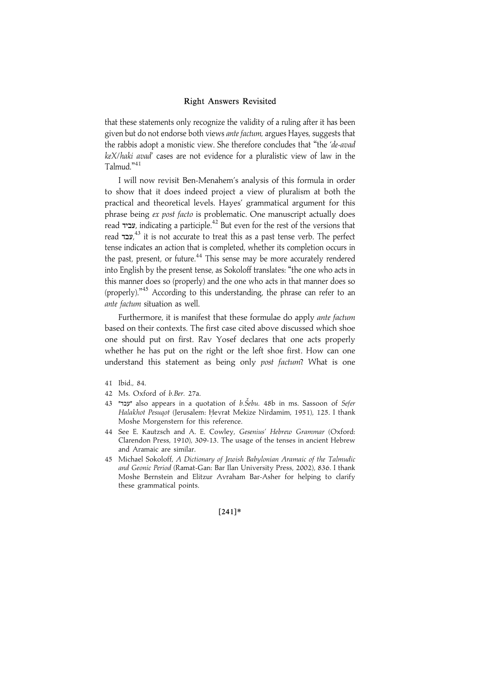that these statements only recognize the validity of a ruling after it has been given but do not endorse both views ante factum, argues Hayes, suggests that the rabbis adopt a monistic view. She therefore concludes that "the 'de-avad keX/haki avad' cases are not evidence for a pluralistic view of law in the Talmud."<sup>41</sup>

I will now revisit Ben-Menahem's analysis of this formula in order to show that it does indeed project a view of pluralism at both the practical and theoretical levels. Hayes' grammatical argument for this phrase being ex post facto is problematic. One manuscript actually does read EKCT, indicating a participle.42 But even for the rest of the versions that read עבד,<sup>43</sup> it is not accurate to treat this as a past tense verb. The perfect tense indicates an action that is completed, whether its completion occurs in the past, present, or future.<sup>44</sup> This sense may be more accurately rendered into English by the present tense, as Sokoloff translates: ''the one who acts in this manner does so (properly) and the one who acts in that manner does so (properly)."<sup>45</sup> According to this understanding, the phrase can refer to an ante factum situation as well.

Furthermore, it is manifest that these formulae do apply ante factum based on their contexts. The first case cited above discussed which shoe one should put on first. Rav Yosef declares that one acts properly whether he has put on the right or the left shoe first. How can one understand this statement as being only post factum? What is one

- 41 Ibid., 84.
- 42 Ms. Oxford of b.Ber. 27a.
- עבד" also appears in a quotation of  $b.\check{S}ebu$ . 48b in ms. Sassoon of Sefer Halakhot Pesuqot (Jerusalem: Hevrat Mekize Nirdamim, 1951), 125. I thank Moshe Morgenstern for this reference.
- 44 See E. Kautzsch and A. E. Cowley, Gesenius' Hebrew Grammar (Oxford: Clarendon Press, 1910), 309-13. The usage of the tenses in ancient Hebrew and Aramaic are similar.
- 45 Michael Sokoloff, A Dictionary of Jewish Babylonian Aramaic of the Talmudic and Geonic Period (Ramat-Gan: Bar Ilan University Press, 2002), 836. I thank Moshe Bernstein and Elitzur Avraham Bar-Asher for helping to clarify these grammatical points.

#### $[241]*$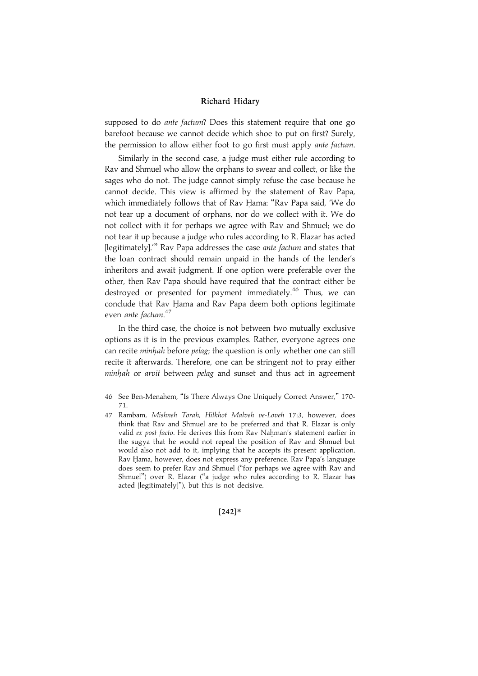supposed to do ante factum? Does this statement require that one go barefoot because we cannot decide which shoe to put on first? Surely, the permission to allow either foot to go first must apply ante factum.

Similarly in the second case, a judge must either rule according to Rav and Shmuel who allow the orphans to swear and collect, or like the sages who do not. The judge cannot simply refuse the case because he cannot decide. This view is affirmed by the statement of Rav Papa, which immediately follows that of Rav Hama: "Rav Papa said, 'We do not tear up a document of orphans, nor do we collect with it. We do not collect with it for perhaps we agree with Rav and Shmuel; we do not tear it up because a judge who rules according to R. Elazar has acted [legitimately]." Rav Papa addresses the case ante factum and states that the loan contract should remain unpaid in the hands of the lender's inheritors and await judgment. If one option were preferable over the other, then Rav Papa should have required that the contract either be destroyed or presented for payment immediately.<sup>46</sup> Thus, we can conclude that Rav Hama and Rav Papa deem both options legitimate even *ante factum*.<sup>47</sup>

In the third case, the choice is not between two mutually exclusive options as it is in the previous examples. Rather, everyone agrees one can recite *minhah* before *pelag*; the question is only whether one can still recite it afterwards. Therefore, one can be stringent not to pray either minhah or arvit between pelag and sunset and thus act in agreement

47 Rambam, Mishneh Torah, Hilkhot Malveh ve-Loveh 17:3, however, does think that Rav and Shmuel are to be preferred and that R. Elazar is only valid ex post facto. He derives this from Rav Nahman's statement earlier in the sugya that he would not repeal the position of Rav and Shmuel but would also not add to it, implying that he accepts its present application. Rav Hama, however, does not express any preference. Rav Papa's language does seem to prefer Rav and Shmuel (''for perhaps we agree with Rav and Shmuel'') over R. Elazar (''a judge who rules according to R. Elazar has acted [legitimately]''), but this is not decisive.

 $[242]*$ 

<sup>46</sup> See Ben-Menahem, ''Is There Always One Uniquely Correct Answer,'' 170- 71.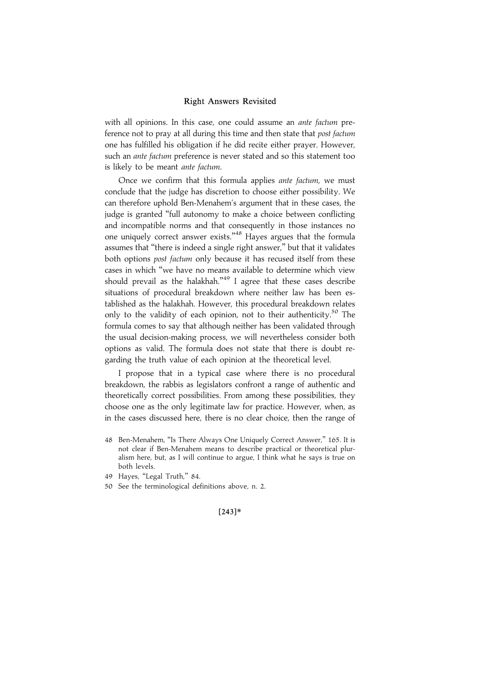with all opinions. In this case, one could assume an ante factum preference not to pray at all during this time and then state that post factum one has fulfilled his obligation if he did recite either prayer. However, such an *ante factum* preference is never stated and so this statement too is likely to be meant ante factum.

Once we confirm that this formula applies ante factum, we must conclude that the judge has discretion to choose either possibility. We can therefore uphold Ben-Menahem's argument that in these cases, the judge is granted ''full autonomy to make a choice between conflicting and incompatible norms and that consequently in those instances no one uniquely correct answer exists."<sup>48</sup> Hayes argues that the formula assumes that ''there is indeed a single right answer,'' but that it validates both options post factum only because it has recused itself from these cases in which ''we have no means available to determine which view should prevail as the halakhah."<sup>49</sup> I agree that these cases describe situations of procedural breakdown where neither law has been established as the halakhah. However, this procedural breakdown relates only to the validity of each opinion, not to their authenticity.<sup>50</sup> The formula comes to say that although neither has been validated through the usual decision-making process, we will nevertheless consider both options as valid. The formula does not state that there is doubt regarding the truth value of each opinion at the theoretical level.

I propose that in a typical case where there is no procedural breakdown, the rabbis as legislators confront a range of authentic and theoretically correct possibilities. From among these possibilities, they choose one as the only legitimate law for practice. However, when, as in the cases discussed here, there is no clear choice, then the range of

- 49 Hayes, "Legal Truth," 84.
- 50 See the terminological definitions above, n. 2.

#### $[243]*$

<sup>48</sup> Ben-Menahem, ''Is There Always One Uniquely Correct Answer,'' 165. It is not clear if Ben-Menahem means to describe practical or theoretical pluralism here, but, as I will continue to argue, I think what he says is true on both levels.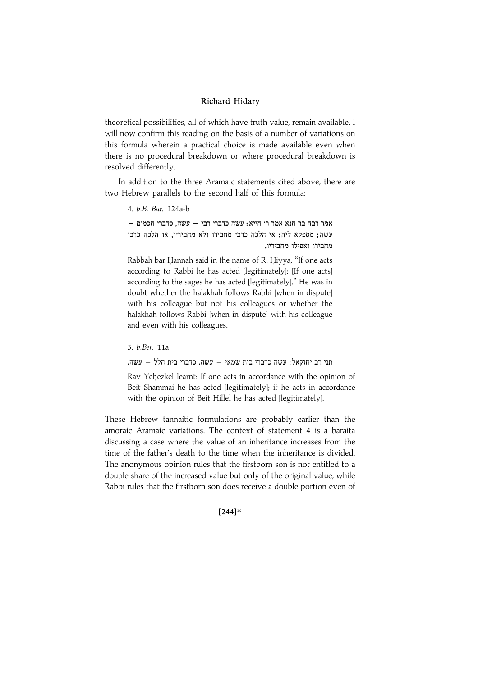theoretical possibilities, all of which have truth value, remain available. I will now confirm this reading on the basis of a number of variations on this formula wherein a practical choice is made available even when there is no procedural breakdown or where procedural breakdown is resolved differently.

In addition to the three Aramaic statements cited above, there are two Hebrew parallels to the second half of this formula:

4. b.B. Bat. 124a-b

 $-$  ממר הבה הנא המר ר' היא גמר הנא היא היא המר הנא ממר בר הנא מ עשה; מספקא ליה: אי הלכה כרבי מחבירו ולא מחביריו, או הלכה כרבי מחבירו ואפילו מחביריו.

Rabbah bar Hannah said in the name of R. Hiyya, "If one acts according to Rabbi he has acted [legitimately]; [If one acts] according to the sages he has acted [legitimately].'' He was in doubt whether the halakhah follows Rabbi [when in dispute] with his colleague but not his colleagues or whether the halakhah follows Rabbi [when in dispute] with his colleague and even with his colleagues.

5. b.Ber. 11a

.<br>תני רב יחזקאל: עשה כדברי בית שמאי – עשה, כדברי בית הלל – עשה

Rav Yehezkel learnt: If one acts in accordance with the opinion of Beit Shammai he has acted [legitimately]; if he acts in accordance with the opinion of Beit Hillel he has acted [legitimately].

These Hebrew tannaitic formulations are probably earlier than the amoraic Aramaic variations. The context of statement 4 is a baraita discussing a case where the value of an inheritance increases from the time of the father's death to the time when the inheritance is divided. The anonymous opinion rules that the firstborn son is not entitled to a double share of the increased value but only of the original value, while Rabbi rules that the firstborn son does receive a double portion even of

#### $[244]*$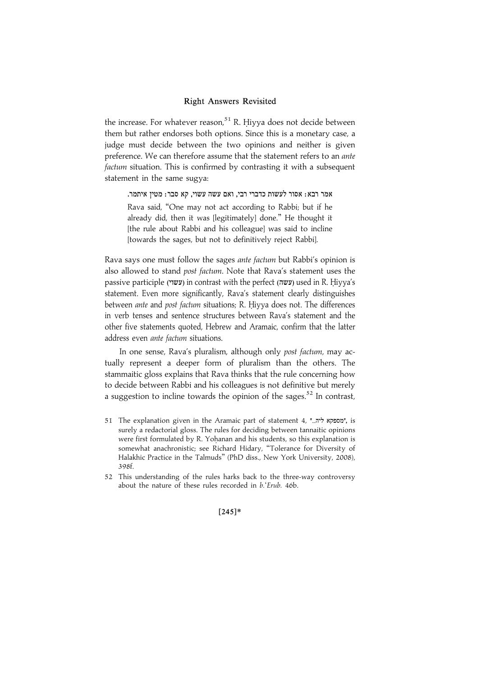the increase. For whatever reason, $51$  R. Hiyya does not decide between them but rather endorses both options. Since this is a monetary case, a judge must decide between the two opinions and neither is given preference. We can therefore assume that the statement refers to an ante factum situation. This is confirmed by contrasting it with a subsequent statement in the same sugya:

.<br>אמר רבא: אסור לעשות כדברי רבי, ואם עשה עשוי, קא סבר: מטין איתמר

Rava said, ''One may not act according to Rabbi; but if he already did, then it was [legitimately] done.'' He thought it [the rule about Rabbi and his colleague] was said to incline [towards the sages, but not to definitively reject Rabbi].

Rava says one must follow the sages ante factum but Rabbi's opinion is also allowed to stand post factum. Note that Rava's statement uses the passive participle (עשוי) in contrast with the perfect (עשה) used in R. Hiyya's statement. Even more significantly, Rava's statement clearly distinguishes between ante and post factum situations; R. Hiyya does not. The differences in verb tenses and sentence structures between Rava's statement and the other five statements quoted, Hebrew and Aramaic, confirm that the latter address even ante factum situations.

In one sense, Rava's pluralism, although only post factum, may actually represent a deeper form of pluralism than the others. The stammaitic gloss explains that Rava thinks that the rule concerning how to decide between Rabbi and his colleagues is not definitive but merely a suggestion to incline towards the opinion of the sages.<sup>52</sup> In contrast.

- 51 The explanation given in the Aramaic part of statement 4, "..." "מספקא ליה surely a redactorial gloss. The rules for deciding between tannaitic opinions were first formulated by R. Yohanan and his students, so this explanation is somewhat anachronistic; see Richard Hidary, ''Tolerance for Diversity of Halakhic Practice in the Talmuds'' (PhD diss., New York University, 2008), 398f.
- 52 This understanding of the rules harks back to the three-way controversy about the nature of these rules recorded in b.'Erub. 46b.

#### $[245]*$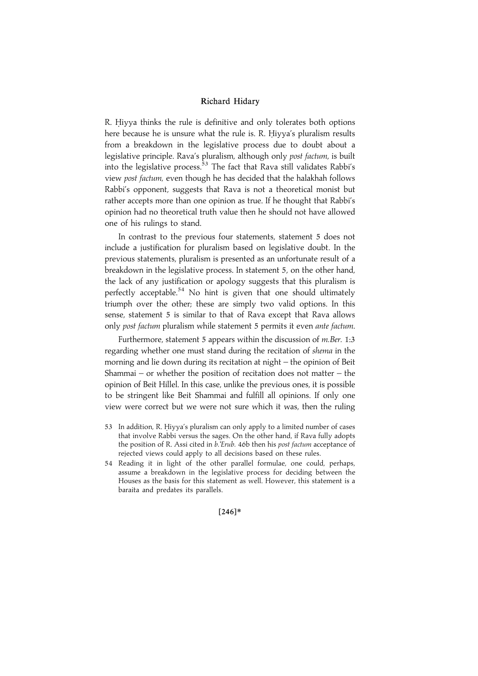R. Hiyya thinks the rule is definitive and only tolerates both options here because he is unsure what the rule is. R. Hiyya's pluralism results from a breakdown in the legislative process due to doubt about a legislative principle. Rava's pluralism, although only post factum, is built into the legislative process.<sup>53</sup> The fact that Rava still validates Rabbi's view post factum, even though he has decided that the halakhah follows Rabbi's opponent, suggests that Rava is not a theoretical monist but rather accepts more than one opinion as true. If he thought that Rabbi's opinion had no theoretical truth value then he should not have allowed one of his rulings to stand.

In contrast to the previous four statements, statement 5 does not include a justification for pluralism based on legislative doubt. In the previous statements, pluralism is presented as an unfortunate result of a breakdown in the legislative process. In statement 5, on the other hand, the lack of any justification or apology suggests that this pluralism is perfectly acceptable.<sup>54</sup> No hint is given that one should ultimately triumph over the other; these are simply two valid options. In this sense, statement 5 is similar to that of Rava except that Rava allows only post factum pluralism while statement 5 permits it even ante factum.

Furthermore, statement 5 appears within the discussion of m.Ber. 1:3 regarding whether one must stand during the recitation of shema in the morning and lie down during its recitation at night – the opinion of Beit Shammai – or whether the position of recitation does not matter – the opinion of Beit Hillel. In this case, unlike the previous ones, it is possible to be stringent like Beit Shammai and fulfill all opinions. If only one view were correct but we were not sure which it was, then the ruling

- 53 In addition, R. Hiyya's pluralism can only apply to a limited number of cases that involve Rabbi versus the sages. On the other hand, if Rava fully adopts the position of R. Assi cited in b. Erub. 46b then his post factum acceptance of rejected views could apply to all decisions based on these rules.
- 54 Reading it in light of the other parallel formulae, one could, perhaps, assume a breakdown in the legislative process for deciding between the Houses as the basis for this statement as well. However, this statement is a baraita and predates its parallels.

 $[246]*$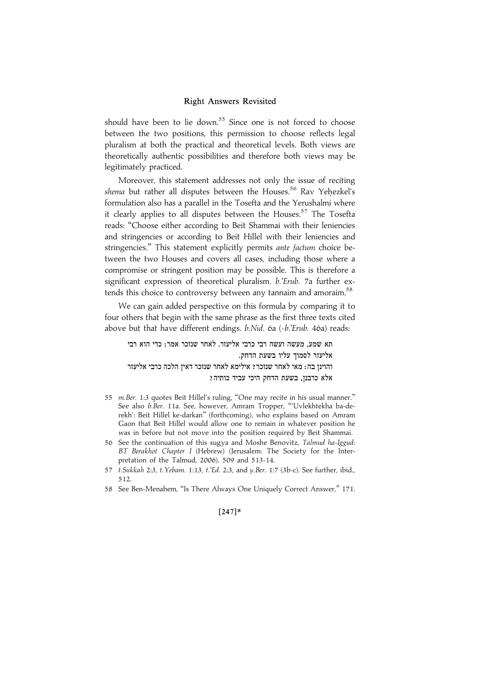should have been to lie down.<sup>55</sup> Since one is not forced to choose between the two positions, this permission to choose reflects legal pluralism at both the practical and theoretical levels. Both views are theoretically authentic possibilities and therefore both views may be legitimately practiced.

Moreover, this statement addresses not only the issue of reciting shema but rather all disputes between the Houses.<sup>56</sup> Rav Yehezkel's formulation also has a parallel in the Tosefta and the Yerushalmi where it clearly applies to all disputes between the Houses.<sup>57</sup> The Tosefta reads: ''Choose either according to Beit Shammai with their leniencies and stringencies or according to Beit Hillel with their leniencies and stringencies." This statement explicitly permits ante factum choice between the two Houses and covers all cases, including those where a compromise or stringent position may be possible. This is therefore a significant expression of theoretical pluralism. b. Erub. 7a further extends this choice to controversy between any tannaim and amoraim.<sup>58</sup>

We can gain added perspective on this formula by comparing it to four others that begin with the same phrase as the first three texts cited above but that have different endings. b.Nid. 6a (=b.'Erub. 46a) reads:

תא שמע. מעשה ועשה רבי כרבי אליעזר. לאחר שנזכר אמר: כדי הוא רבי אליעזר לסמוך עליו בשעת הדחק. והוינן בה: מאי לאחר שנזכר? אילימא לאחר שנזכר דאין הלכה כרבי אליעזר אלא כרבנן, בשעת הדחק היכי עביד כותיה?

- 55 m.Ber. 1:3 quotes Beit Hillel's ruling, ''One may recite in his usual manner.'' See also b.Ber. 11a. See, however, Amram Tropper, '''Uvlekhtekha ba-derekh': Beit Hillel ke-darkan'' (forthcoming), who explains based on Amram Gaon that Beit Hillel would allow one to remain in whatever position he was in before but not move into the position required by Beit Shammai.
- 56 See the continuation of this sugya and Moshe Benovitz, Talmud ha-Iggud: BT Berakhot Chapter I (Hebrew) (Jerusalem: The Society for the Interpretation of the Talmud, 2006), 509 and 513-14.
- 57 t.Sukkah 2:3, t.Yebam. 1:13, t.'Ed. 2:3, and y.Ber. 1:7 (3b-c). See further, ibid., 512.
- 58 See Ben-Menahem, ''Is There Always One Uniquely Correct Answer,'' 171.

#### $[247]*$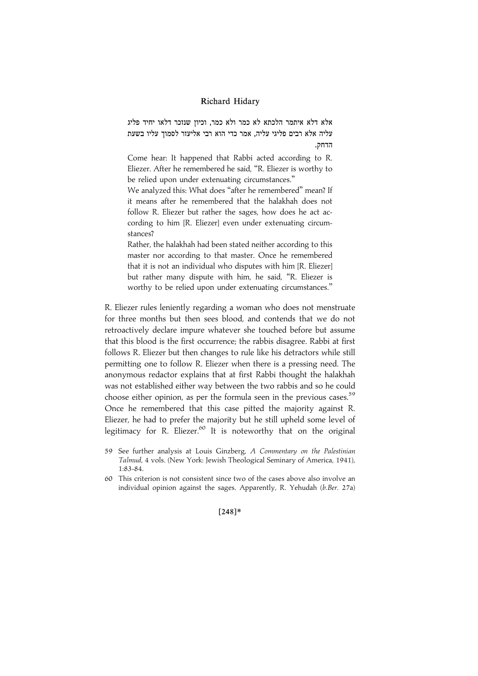אלא דלא איתמר הלכתא לא כמר ולא כמר, וכיון שנזכר דלאו יחיד פליג עליה אלא רבים פליגי עליה, אמר כדי הוא רבי אליעזר לסמוך עליו בשעת הדחק.

Come hear: It happened that Rabbi acted according to R. Eliezer. After he remembered he said, ''R. Eliezer is worthy to be relied upon under extenuating circumstances.''

We analyzed this: What does "after he remembered" mean? If it means after he remembered that the halakhah does not follow R. Eliezer but rather the sages, how does he act according to him [R. Eliezer] even under extenuating circumstances?

Rather, the halakhah had been stated neither according to this master nor according to that master. Once he remembered that it is not an individual who disputes with him [R. Eliezer] but rather many dispute with him, he said, ''R. Eliezer is worthy to be relied upon under extenuating circumstances.''

R. Eliezer rules leniently regarding a woman who does not menstruate for three months but then sees blood, and contends that we do not retroactively declare impure whatever she touched before but assume that this blood is the first occurrence; the rabbis disagree. Rabbi at first follows R. Eliezer but then changes to rule like his detractors while still permitting one to follow R. Eliezer when there is a pressing need. The anonymous redactor explains that at first Rabbi thought the halakhah was not established either way between the two rabbis and so he could choose either opinion, as per the formula seen in the previous cases.<sup>59</sup> Once he remembered that this case pitted the majority against R. Eliezer, he had to prefer the majority but he still upheld some level of legitimacy for R. Eliezer.<sup>60</sup> It is noteworthy that on the original

 $[248]*$ 

<sup>59</sup> See further analysis at Louis Ginzberg, A Commentary on the Palestinian Talmud, 4 vols. (New York: Jewish Theological Seminary of America, 1941), 1:83-84.

<sup>60</sup> This criterion is not consistent since two of the cases above also involve an individual opinion against the sages. Apparently, R. Yehudah (b.Ber. 27a)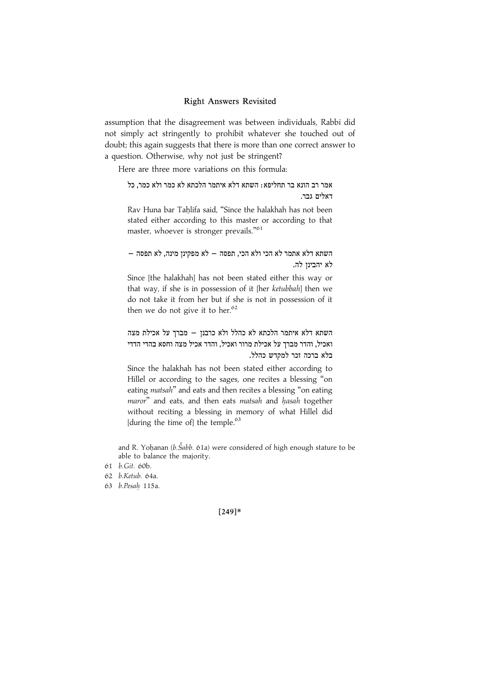assumption that the disagreement was between individuals, Rabbi did not simply act stringently to prohibit whatever she touched out of doubt; this again suggests that there is more than one correct answer to a question. Otherwise, why not just be stringent?

Here are three more variations on this formula:

אמר רב הונא בר תחליפא: השתא דלא איתמר הלכתא לא כמר ולא כמר, כל דאלים גבר.

Rav Huna bar Tahlifa said, "Since the halakhah has not been stated either according to this master or according to that master, whoever is stronger prevails."<sup>61</sup>

 $-$  השתא דלא אתמר לא הכי ולא הכי, תפסה  $-$  לא מפקינן מינה, לא תפסה לא יהבינז לה.

Since [the halakhah] has not been stated either this way or that way, if she is in possession of it [her ketubbah] then we do not take it from her but if she is not in possession of it then we do not give it to her. $62$ 

השתא דלא איתמר הלכתא לא כהלל ולא כרבנן – מברך על אכילת מצה ואכיל, והדר מברך על אכילת מרור ואכיל, והדר אכיל מצה וחסא בהדי הדדי בלא ברכה זכר למקדש כהלל.

Since the halakhah has not been stated either according to Hillel or according to the sages, one recites a blessing ''on eating matsah" and eats and then recites a blessing "on eating maror" and eats, and then eats matsah and hasah together without reciting a blessing in memory of what Hillel did [during the time of] the temple. $63$ 

and R. Yohanan ( $b.\check{S}abb.$  61a) were considered of high enough stature to be able to balance the majority.

61 b.Git. 60b.

62 b.Ketub. 64a.

63 b.Pesah. 115a.

 $[249]*$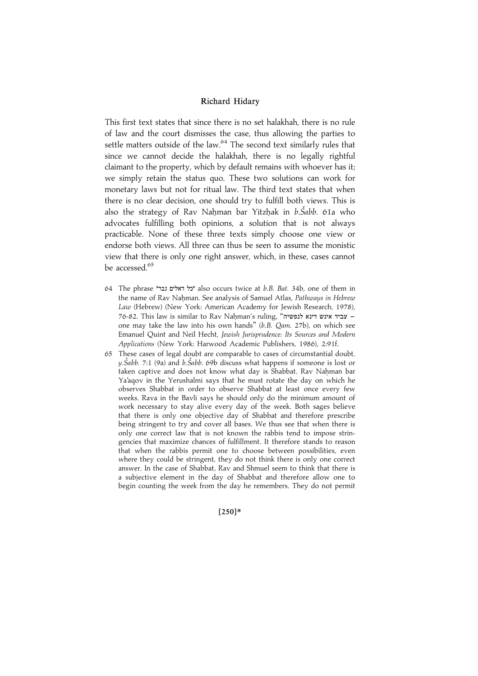This first text states that since there is no set halakhah, there is no rule of law and the court dismisses the case, thus allowing the parties to settle matters outside of the law. $64$  The second text similarly rules that since we cannot decide the halakhah, there is no legally rightful claimant to the property, which by default remains with whoever has it; we simply retain the status quo. These two solutions can work for monetary laws but not for ritual law. The third text states that when there is no clear decision, one should try to fulfill both views. This is also the strategy of Rav Nahman bar Yitzhak in b.Šabb. 61a who advocates fulfilling both opinions, a solution that is not always practicable. None of these three texts simply choose one view or endorse both views. All three can thus be seen to assume the monistic view that there is only one right answer, which, in these, cases cannot be accessed.<sup>65</sup>

- 64 The phrase "ZCD OKNBE NM" also occurs twice at b.B. Bat. 34b, one of them in the name of Rav Nahman. See analysis of Samuel Atlas, Pathways in Hebrew Law (Hebrew) (New York: American Academy for Jewish Research, 1978), 76-82. This law is similar to Rav Nahman's ruling, "יביד אינש דינא לנפשיה one may take the law into his own hands'' (b.B. Qam. 27b), on which see Emanuel Quint and Neil Hecht, Jewish Jurisprudence: Its Sources and Modern Applications (New York: Harwood Academic Publishers, 1986), 2:91f.
- 65 These cases of legal doubt are comparable to cases of circumstantial doubt. y.Šabb. 7:1 (9a) and b.Šabb. 69b discuss what happens if someone is lost or taken captive and does not know what day is Shabbat. Rav Nahman bar Ya'aqov in the Yerushalmi says that he must rotate the day on which he observes Shabbat in order to observe Shabbat at least once every few weeks. Rava in the Bavli says he should only do the minimum amount of work necessary to stay alive every day of the week. Both sages believe that there is only one objective day of Shabbat and therefore prescribe being stringent to try and cover all bases. We thus see that when there is only one correct law that is not known the rabbis tend to impose stringencies that maximize chances of fulfillment. It therefore stands to reason that when the rabbis permit one to choose between possibilities, even where they could be stringent, they do not think there is only one correct answer. In the case of Shabbat, Rav and Shmuel seem to think that there is a subjective element in the day of Shabbat and therefore allow one to begin counting the week from the day he remembers. They do not permit

 $[250]*$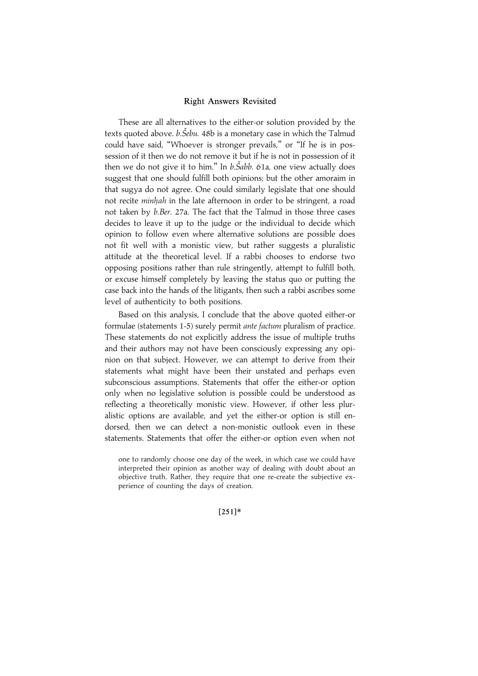These are all alternatives to the either-or solution provided by the texts quoted above. *b.Šebu.* 48b is a monetary case in which the Talmud could have said, "Whoever is stronger prevails," or "If he is in possession of it then we do not remove it but if he is not in possession of it then we do not give it to him." In  $b.\check{S}abb.$  61a, one view actually does suggest that one should fulfill both opinions; but the other amoraim in that sugya do not agree. One could similarly legislate that one should not recite minhah in the late afternoon in order to be stringent, a road not taken by b.Ber. 27a. The fact that the Talmud in those three cases decides to leave it up to the judge or the individual to decide which opinion to follow even where alternative solutions are possible does not fit well with a monistic view, but rather suggests a pluralistic attitude at the theoretical level. If a rabbi chooses to endorse two opposing positions rather than rule stringently, attempt to fulfill both, or excuse himself completely by leaving the status quo or putting the case back into the hands of the litigants, then such a rabbi ascribes some level of authenticity to both positions.

Based on this analysis, I conclude that the above quoted either-or formulae (statements 1-5) surely permit *ante factum* pluralism of practice. These statements do not explicitly address the issue of multiple truths and their authors may not have been consciously expressing any opinion on that subject. However, we can attempt to derive from their statements what might have been their unstated and perhaps even subconscious assumptions. Statements that offer the either-or option only when no legislative solution is possible could be understood as reflecting a theoretically monistic view. However, if other less pluralistic options are available, and yet the either-or option is still endorsed, then we can detect a non-monistic outlook even in these statements. Statements that offer the either-or option even when not

#### $[251]*$

one to randomly choose one day of the week, in which case we could have interpreted their opinion as another way of dealing with doubt about an objective truth. Rather, they require that one re-create the subjective experience of counting the days of creation.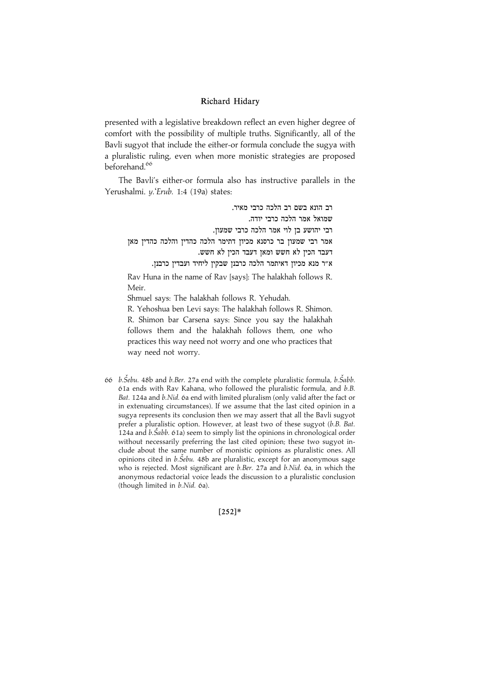presented with a legislative breakdown reflect an even higher degree of comfort with the possibility of multiple truths. Significantly, all of the Bavli sugyot that include the either-or formula conclude the sugya with a pluralistic ruling, even when more monistic strategies are proposed beforehand.<sup>66</sup>

The Bavli's either-or formula also has instructive parallels in the Yerushalmi. y.'Erub. 1:4 (19a) states:

רב הונא בשם רב הלכה כרבי מאיר. שמואל אמר הלכה כרבי יודה. רבי יהושע בן לוי אמר הלכה כרבי שמעון. אמר רבי שמעון בר כרסנא מכיון דתימר הלכה כהדים מאן .<br>דעבד הכין לא חשש ומאן דעבד הכין לא חשש .A"ר מנא מכיון דאיתמר הלכה כרבנן שבקין ליחיד ועבדין כרבנן Rav Huna in the name of Rav [says]: The halakhah follows R. Meir. Shmuel says: The halakhah follows R. Yehudah. R. Yehoshua ben Levi says: The halakhah follows R. Shimon.

R. Shimon bar Carsena says: Since you say the halakhah follows them and the halakhah follows them, one who practices this way need not worry and one who practices that way need not worry.

66  $b.\check{S}ebu$ . 48b and  $b.$ Ber. 27a end with the complete pluralistic formula,  $b.\check{S}abb$ . 61a ends with Rav Kahana, who followed the pluralistic formula, and b.B. Bat. 124a and b.Nid. 6a end with limited pluralism (only valid after the fact or in extenuating circumstances). If we assume that the last cited opinion in a sugya represents its conclusion then we may assert that all the Bavli sugyot prefer a pluralistic option. However, at least two of these sugyot (b.B. Bat. 124a and  $b.\dot{S}abb.$  61a) seem to simply list the opinions in chronological order without necessarily preferring the last cited opinion; these two sugyot include about the same number of monistic opinions as pluralistic ones. All opinions cited in  $b.\check{Se}bu.$  48b are pluralistic, except for an anonymous sage who is rejected. Most significant are b.Ber. 27a and b.Nid. 6a, in which the anonymous redactorial voice leads the discussion to a pluralistic conclusion (though limited in b.Nid. 6a).

 $[252]*$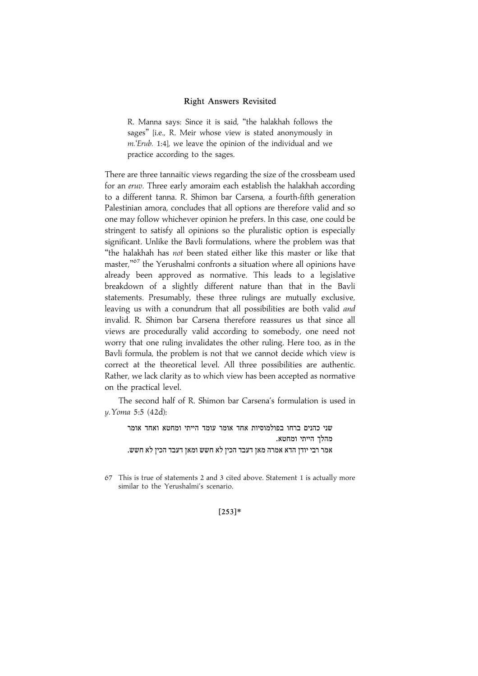R. Manna says: Since it is said, ''the halakhah follows the sages'' [i.e., R. Meir whose view is stated anonymously in m.'Erub. 1:4], we leave the opinion of the individual and we practice according to the sages.

There are three tannaitic views regarding the size of the crossbeam used for an eruv. Three early amoraim each establish the halakhah according to a different tanna. R. Shimon bar Carsena, a fourth-fifth generation Palestinian amora, concludes that all options are therefore valid and so one may follow whichever opinion he prefers. In this case, one could be stringent to satisfy all opinions so the pluralistic option is especially significant. Unlike the Bavli formulations, where the problem was that ''the halakhah has not been stated either like this master or like that master,"<sup>67</sup> the Yerushalmi confronts a situation where all opinions have already been approved as normative. This leads to a legislative breakdown of a slightly different nature than that in the Bavli statements. Presumably, these three rulings are mutually exclusive, leaving us with a conundrum that all possibilities are both valid and invalid. R. Shimon bar Carsena therefore reassures us that since all views are procedurally valid according to somebody, one need not worry that one ruling invalidates the other ruling. Here too, as in the Bavli formula, the problem is not that we cannot decide which view is correct at the theoretical level. All three possibilities are authentic. Rather, we lack clarity as to which view has been accepted as normative on the practical level.

The second half of R. Shimon bar Carsena's formulation is used in y.Yoma 5:5 (42d):

שני כהנים ברחו בפולמוסיות אחד אומר עומד הייתי ומחטא ואחד אומר מהלך הייתי ומחטא. .<br>אמר רבי יודן הדא אמרה מאן דעבד הכין לא חשש ומאן דעבד הכין לא חשש.

 $[253]*$ 

<sup>67</sup> This is true of statements 2 and 3 cited above. Statement 1 is actually more similar to the Yerushalmi's scenario.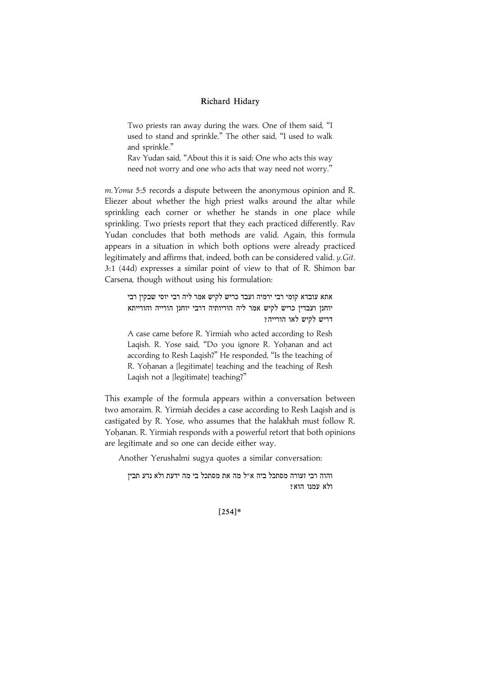Two priests ran away during the wars. One of them said, ''I used to stand and sprinkle.'' The other said, ''I used to walk and sprinkle.''

Rav Yudan said, ''About this it is said: One who acts this way need not worry and one who acts that way need not worry.''

m.Yoma 5:5 records a dispute between the anonymous opinion and R. Eliezer about whether the high priest walks around the altar while sprinkling each corner or whether he stands in one place while sprinkling. Two priests report that they each practiced differently. Rav Yudan concludes that both methods are valid. Again, this formula appears in a situation in which both options were already practiced legitimately and affirms that, indeed, both can be considered valid. y.Git. 3:1 (44d) expresses a similar point of view to that of R. Shimon bar Carsena, though without using his formulation:

אתא עובדא קומי רבי ירמיה ועבד כריש לקיש אמר ליה רבי יוסי שבקין רבי יוחנן ועבדין כריש לקיש אמר ליה הוריותיה דרבי יוחנן הורייה והורייתא  $?$ דריש לקיש לאו הורייה

A case came before R. Yirmiah who acted according to Resh Laqish. R. Yose said, "Do you ignore R. Yohanan and act according to Resh Laqish?'' He responded, ''Is the teaching of R. Yohanan a [legitimate] teaching and the teaching of Resh Laqish not a [legitimate] teaching?''

This example of the formula appears within a conversation between two amoraim. R. Yirmiah decides a case according to Resh Laqish and is castigated by R. Yose, who assumes that the halakhah must follow R. Yohanan. R. Yirmiah responds with a powerful retort that both opinions are legitimate and so one can decide either way.

Another Yerushalmi sugya quotes a similar conversation:

והוה רבי זעורה מסתכל ביה א״ל מה את מסתכל בי מה ידעת ולא נדע תביז ולא עמנו הוא?

 $[254]*$